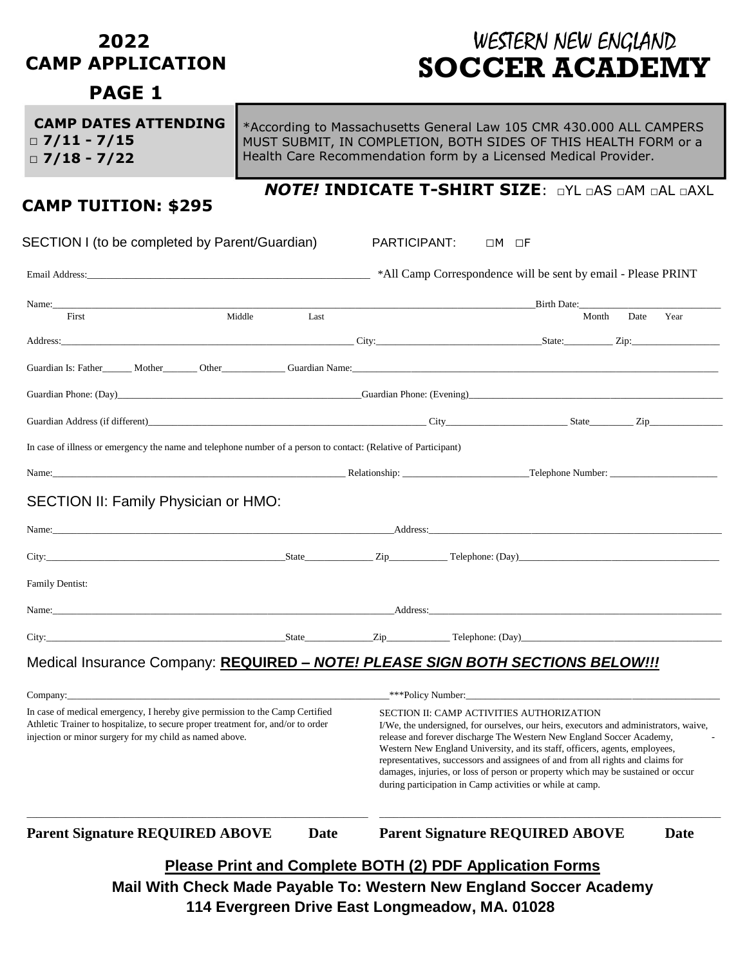#### **2022 CAMP APPLICATION**

# WESTERN NEW ENGLAND  **SOCCER ACADEMY**

## **PAGE 1**

| <b>CAMP DATES ATTENDING</b> | *According to Massachusetts General Law 105 CMR 430.000 ALL CAMPERS |
|-----------------------------|---------------------------------------------------------------------|
| $\Box$ 7/11 - 7/15          | MUST SUBMIT, IN COMPLETION, BOTH SIDES OF THIS HEALTH FORM or a     |
| $\Box$ 7/18 - 7/22          | Health Care Recommendation form by a Licensed Medical Provider.     |
|                             |                                                                     |

### **CAMP TUITION: \$295**

#### *NOTE!* **INDICATE T-SHIRT SIZE**: □YL □AS □AM □AL □AXL

| SECTION I (to be completed by Parent/Guardian)                                                                                                                                                                                |                                                                 |             | PARTICIPANT:                                                                                                                                                                                                                                                                                                                                                                                                                                                                                                                   |  | $\Box M$ $\Box F$                      |       |      |             |
|-------------------------------------------------------------------------------------------------------------------------------------------------------------------------------------------------------------------------------|-----------------------------------------------------------------|-------------|--------------------------------------------------------------------------------------------------------------------------------------------------------------------------------------------------------------------------------------------------------------------------------------------------------------------------------------------------------------------------------------------------------------------------------------------------------------------------------------------------------------------------------|--|----------------------------------------|-------|------|-------------|
|                                                                                                                                                                                                                               |                                                                 |             |                                                                                                                                                                                                                                                                                                                                                                                                                                                                                                                                |  |                                        |       |      |             |
| Name: Name: Name: Name: Name: Name: Name: Name: Name: Name: Name: Name: Name: Name: Name: Name: Name: Name: Name: Name: Name: Name: Name: Name: Name: Name: Name: Name: Name: Name: Name: Name: Name: Name: Name: Name: Name: |                                                                 |             |                                                                                                                                                                                                                                                                                                                                                                                                                                                                                                                                |  |                                        |       |      |             |
| First                                                                                                                                                                                                                         | Middle                                                          | Last        |                                                                                                                                                                                                                                                                                                                                                                                                                                                                                                                                |  |                                        | Month | Date | Year        |
|                                                                                                                                                                                                                               |                                                                 |             |                                                                                                                                                                                                                                                                                                                                                                                                                                                                                                                                |  |                                        |       |      |             |
|                                                                                                                                                                                                                               |                                                                 |             |                                                                                                                                                                                                                                                                                                                                                                                                                                                                                                                                |  |                                        |       |      |             |
|                                                                                                                                                                                                                               |                                                                 |             |                                                                                                                                                                                                                                                                                                                                                                                                                                                                                                                                |  |                                        |       |      |             |
|                                                                                                                                                                                                                               |                                                                 |             |                                                                                                                                                                                                                                                                                                                                                                                                                                                                                                                                |  |                                        |       |      |             |
| In case of illness or emergency the name and telephone number of a person to contact: (Relative of Participant)                                                                                                               |                                                                 |             |                                                                                                                                                                                                                                                                                                                                                                                                                                                                                                                                |  |                                        |       |      |             |
| Name: Chapter and Chapter and Chapter and Chapter and Chapter and Chapter and Chapter and Chapter and Chapter and Chapter and Chapter and Chapter and Chapter and Chapter and Chapter and Chapter and Chapter and Chapter and |                                                                 |             |                                                                                                                                                                                                                                                                                                                                                                                                                                                                                                                                |  |                                        |       |      |             |
| SECTION II: Family Physician or HMO:                                                                                                                                                                                          |                                                                 |             |                                                                                                                                                                                                                                                                                                                                                                                                                                                                                                                                |  |                                        |       |      |             |
|                                                                                                                                                                                                                               |                                                                 |             |                                                                                                                                                                                                                                                                                                                                                                                                                                                                                                                                |  |                                        |       |      |             |
|                                                                                                                                                                                                                               |                                                                 |             |                                                                                                                                                                                                                                                                                                                                                                                                                                                                                                                                |  |                                        |       |      |             |
| <b>Family Dentist:</b>                                                                                                                                                                                                        |                                                                 |             |                                                                                                                                                                                                                                                                                                                                                                                                                                                                                                                                |  |                                        |       |      |             |
|                                                                                                                                                                                                                               |                                                                 |             |                                                                                                                                                                                                                                                                                                                                                                                                                                                                                                                                |  |                                        |       |      |             |
|                                                                                                                                                                                                                               |                                                                 |             |                                                                                                                                                                                                                                                                                                                                                                                                                                                                                                                                |  |                                        |       |      |             |
| Medical Insurance Company: REQUIRED - NOTE! PLEASE SIGN BOTH SECTIONS BELOW !!!                                                                                                                                               |                                                                 |             |                                                                                                                                                                                                                                                                                                                                                                                                                                                                                                                                |  |                                        |       |      |             |
|                                                                                                                                                                                                                               |                                                                 |             |                                                                                                                                                                                                                                                                                                                                                                                                                                                                                                                                |  |                                        |       |      |             |
| In case of medical emergency, I hereby give permission to the Camp Certified<br>Athletic Trainer to hospitalize, to secure proper treatment for, and/or to order<br>injection or minor surgery for my child as named above.   |                                                                 |             | SECTION II: CAMP ACTIVITIES AUTHORIZATION<br>I/We, the undersigned, for ourselves, our heirs, executors and administrators, waive,<br>release and forever discharge The Western New England Soccer Academy,<br>Western New England University, and its staff, officers, agents, employees,<br>representatives, successors and assignees of and from all rights and claims for<br>damages, injuries, or loss of person or property which may be sustained or occur<br>during participation in Camp activities or while at camp. |  |                                        |       |      |             |
| <b>Parent Signature REQUIRED ABOVE</b>                                                                                                                                                                                        |                                                                 | <b>Date</b> |                                                                                                                                                                                                                                                                                                                                                                                                                                                                                                                                |  | <b>Parent Signature REQUIRED ABOVE</b> |       |      | <b>Date</b> |
|                                                                                                                                                                                                                               | <b>Please Print and Complete BOTH (2) PDF Application Forms</b> |             |                                                                                                                                                                                                                                                                                                                                                                                                                                                                                                                                |  |                                        |       |      |             |
|                                                                                                                                                                                                                               |                                                                 |             |                                                                                                                                                                                                                                                                                                                                                                                                                                                                                                                                |  |                                        |       |      |             |

**Mail With Check Made Payable To: Western New England Soccer Academy 114 Evergreen Drive East Longmeadow, MA. 01028**